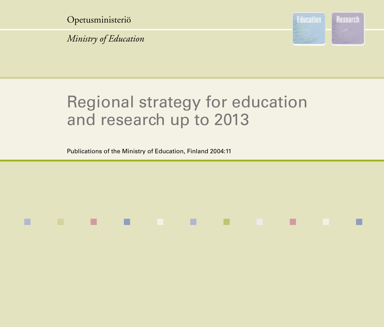Opetusministeriö

*Ministry of Education*



## Regional strategy for education and research up to 2013

■ ■ ■ ■ ■ ■ ■ ■ ■ ■ ■

Publications of the Ministry of Education, Finland 2004:11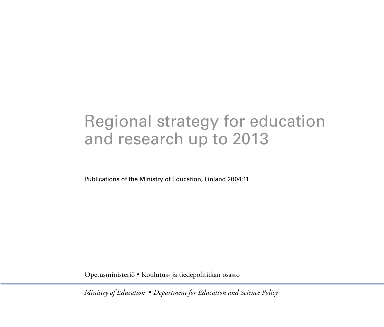### Regional strategy for education and research up to 2013

Publications of the Ministry of Education, Finland 2004:11

Opetusministeriö • Koulutus- ja tiedepolitiikan osasto

*Ministry of Education* • *Department for Education and Science Policy*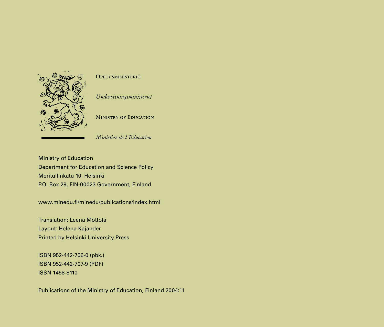

#### OPETUSMINISTERIÖ

Undervisningsministeriet

**MINISTRY OF EDUCATION** 

Ministère de l'Education

Ministry of Education Department for Education and Science Policy Meritullinkatu 10, Helsinki P.O. Box 29, FIN-00023 Government, Finland

www.minedu.fi/minedu/publications/index.html

Translation: Leena Möttölä Layout: Helena Kajander Printed by Helsinki University Press

ISBN 952-442-706-0 (pbk.) ISBN 952-442-707-9 (PDF) ISSN 1458-8110

Publications of the Ministry of Education, Finland 2004:11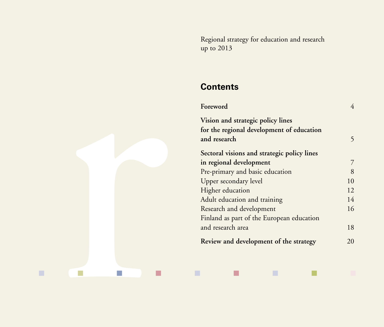Regional strategy for education and research up to 2013

### **Contents**

| Foreword                                    |    |
|---------------------------------------------|----|
| Vision and strategic policy lines           |    |
| for the regional development of education   |    |
| and research                                | 5  |
| Sectoral visions and strategic policy lines |    |
| in regional development                     | 7  |
| Pre-primary and basic education             | 8  |
| Upper secondary level                       | 10 |
| Higher education                            | 12 |
| Adult education and training                | 14 |
| Research and development                    | 16 |
| Finland as part of the European education   |    |
| and research area                           | 18 |
| Review and development of the strategy      | 20 |

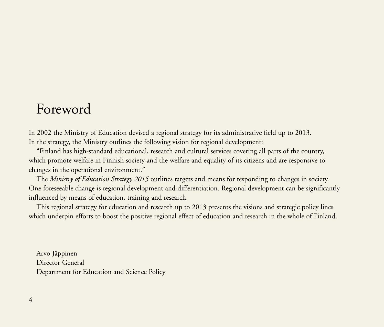### Foreword

In 2002 the Ministry of Education devised a regional strategy for its administrative field up to 2013. In the strategy, the Ministry outlines the following vision for regional development:

"Finland has high-standard educational, research and cultural services covering all parts of the country, which promote welfare in Finnish society and the welfare and equality of its citizens and are responsive to changes in the operational environment."

The *Ministry of Education Strategy 2015* outlines targets and means for responding to changes in society. One foreseeable change is regional development and differentiation. Regional development can be significantly influenced by means of education, training and research.

This regional strategy for education and research up to 2013 presents the visions and strategic policy lines which underpin efforts to boost the positive regional effect of education and research in the whole of Finland.

Arvo Jäppinen Director General Department for Education and Science Policy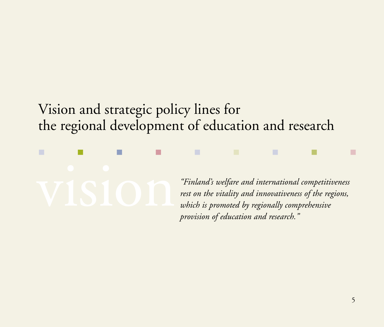### Vision and strategic policy lines for the regional development of education and research



*"Finland's welfare and international competitiveness rest on the vitality and innovativeness of the regions, which is promoted by regionally comprehensive provision of education and research."*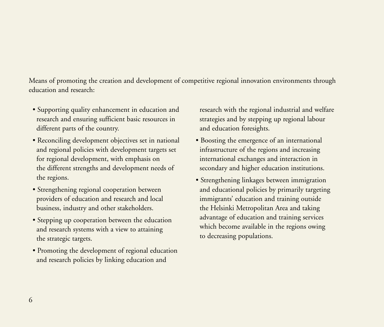Means of promoting the creation and development of competitive regional innovation environments through education and research:

- Supporting quality enhancement in education and research and ensuring sufficient basic resources in different parts of the country.
- Reconciling development objectives set in national and regional policies with development targets set for regional development, with emphasis on the different strengths and development needs of the regions.
- Strengthening regional cooperation between providers of education and research and local business, industry and other stakeholders.
- Stepping up cooperation between the education and research systems with a view to attaining the strategic targets.
- Promoting the development of regional education and research policies by linking education and

research with the regional industrial and welfare strategies and by stepping up regional labour and education foresights.

- Boosting the emergence of an international infrastructure of the regions and increasing international exchanges and interaction in secondary and higher education institutions.
- Strengthening linkages between immigration and educational policies by primarily targeting immigrants' education and training outside the Helsinki Metropolitan Area and taking advantage of education and training services which become available in the regions owing to decreasing populations.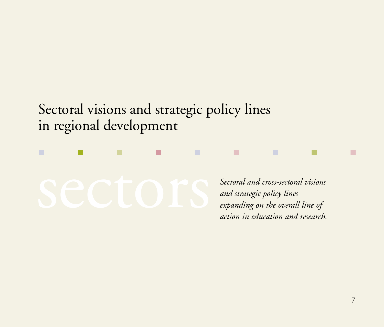Sectoral visions and strategic policy lines in regional development

■ ■ ■ ■ ■ ■ ■ ■ ■

*Sectoral and cross-sectoral visions and strategic policy lines expanding on the overall line of action in education and research.*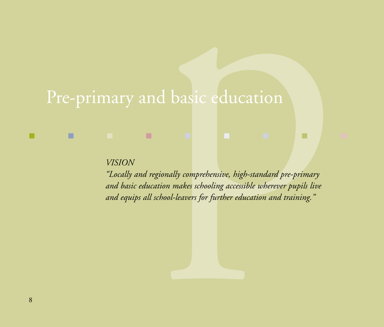# Pre-primary and basic education

■ ■ ■ ■ ■ ■ ■ ■ ■

*VISION*

"Locally and regionally comprehensive, high-standard pre-primary *and basic education makes schooling accessible wherever pupils live and equips all school-leavers for further education and training. LOCAL CONTRATE ACTOR*<br> *LOCALLY and regionally comprehensive, high-standard pre-primary*<br> *Locally and regionally comprehensive, high-standard pre-primary*<br> *pmd equips all school-leavers for further education and maining*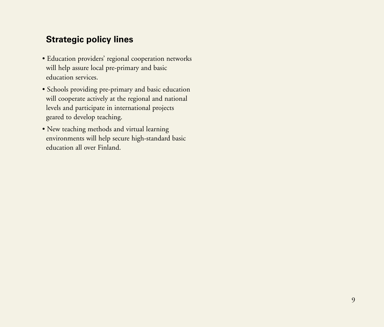- Education providers' regional cooperation networks will help assure local pre-primary and basic education services.
- Schools providing pre-primary and basic education will cooperate actively at the regional and national levels and participate in international projects geared to develop teaching.
- New teaching methods and virtual learning environments will help secure high-standard basic education all over Finland.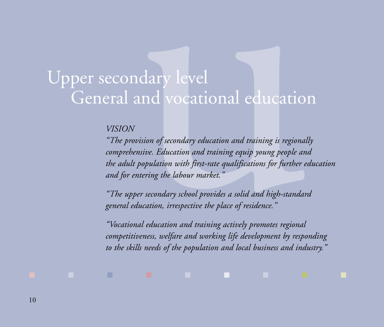# Upper secondary level General and vocational education

#### *VISION*

"The provision of secondary education and training is regionally *comprehensive. Education and training equip young people and the adult population with first-rate qualifications for further education and for entering the labour market.* **The provision of secondary**<br> **The provision of secondary education and training is regionally<br>** *The provision of secondary education and training is regionally<br>
omprehensive. Education and training equip young people and<br>* 

*"The upper secondary school provides a solid and high-standard general education, irrespective the place of residence."*

■ ■ ■ ■ ■ ■ ■ ■ ■

*"Vocational education and training actively promotes regional competitiveness, welfare and working life development by responding to the skills needs of the population and local business and industry."*

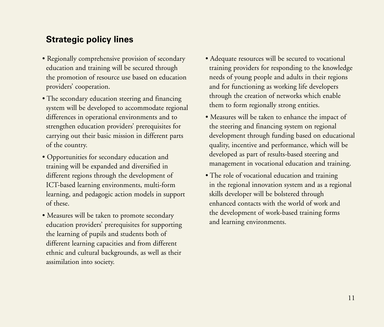- Regionally comprehensive provision of secondary education and training will be secured through the promotion of resource use based on education providers' cooperation.
- The secondary education steering and financing system will be developed to accommodate regional differences in operational environments and to strengthen education providers' prerequisites for carrying out their basic mission in different parts of the country.
- Opportunities for secondary education and training will be expanded and diversified in different regions through the development of ICT-based learning environments, multi-form learning, and pedagogic action models in support of these.
- Measures will be taken to promote secondary education providers' prerequisites for supporting the learning of pupils and students both of different learning capacities and from different ethnic and cultural backgrounds, as well as their assimilation into society.
- Adequate resources will be secured to vocational training providers for responding to the knowledge needs of young people and adults in their regions and for functioning as working life developers through the creation of networks which enable them to form regionally strong entities.
- Measures will be taken to enhance the impact of the steering and financing system on regional development through funding based on educational quality, incentive and performance, which will be developed as part of results-based steering and management in vocational education and training.
- The role of vocational education and training in the regional innovation system and as a regional skills developer will be bolstered through enhanced contacts with the world of work and the development of work-based training forms and learning environments.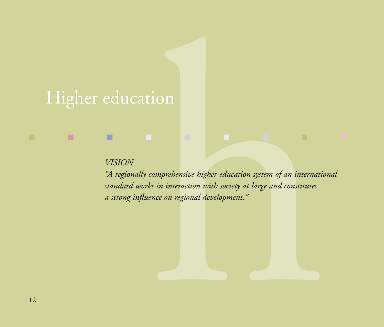# Higher education

#### *VISION*

ion<br>
Signal Constant Constant of the society at large and constitutes<br>
Signal development."<br>
Signal development."<br>
Signal Constitutes<br>
Signal development."<br>
Signal Constitutes<br>
Signal Constitutes<br>
Signal Constitutes<br>
Signa *"A regionally comprehensive higher education system of an international standard works in interaction with society at large and constitutes a strong influence on regional development."*

■ ■ ■ ■ ■ ■ ■ ■ ■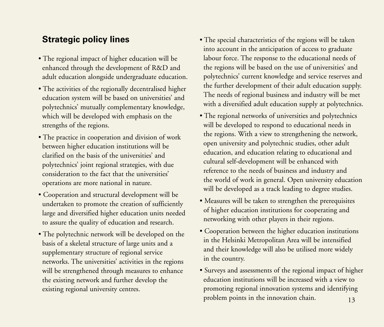- The regional impact of higher education will be enhanced through the development of R&D and adult education alongside undergraduate education.
- The activities of the regionally decentralised higher education system will be based on universities' and polytechnics' mutually complementary knowledge, which will be developed with emphasis on the strengths of the regions.
- The practice in cooperation and division of work between higher education institutions will be clarified on the basis of the universities' and polytechnics' joint regional strategies, with due consideration to the fact that the universities' operations are more national in nature.
- Cooperation and structural development will be undertaken to promote the creation of sufficiently large and diversified higher education units needed to assure the quality of education and research.
- The polytechnic network will be developed on the basis of a skeletal structure of large units and a supplementary structure of regional service networks. The universities' activities in the regions will be strengthened through measures to enhance the existing network and further develop the existing regional university centres.
- The special characteristics of the regions will be taken into account in the anticipation of access to graduate labour force. The response to the educational needs of the regions will be based on the use of universities' and polytechnics' current knowledge and service reserves and the further development of their adult education supply. The needs of regional business and industry will be met with a diversified adult education supply at polytechnics.
- The regional networks of universities and polytechnics will be developed to respond to educational needs in the regions. With a view to strengthening the network, open university and polytechnic studies, other adult education, and education relating to educational and cultural self-development will be enhanced with reference to the needs of business and industry and the world of work in general. Open university education will be developed as a track leading to degree studies.
- Measures will be taken to strengthen the prerequisites of higher education institutions for cooperating and networking with other players in their regions.
- Cooperation between the higher education institutions in the Helsinki Metropolitan Area will be intensified and their knowledge will also be utilised more widely in the country.
- Surveys and assessments of the regional impact of higher education institutions will be increased with a view to promoting regional innovation systems and identifying problem points in the innovation chain.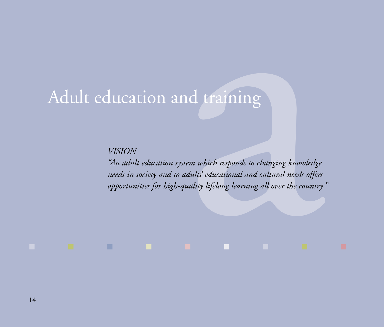*VISION*

Adult education and training<br>VISION<br>The adult education system which responds to changing knowledge<br>needs in society and to adults' educational and cultural needs offers<br>opportunities for high-quality lifelong learning all *"An adult education system which responds to changing knowledge needs in society and to adults' educational and cultural needs offers opportunities for high-quality lifelong learning all over the country."*

■ ■ ■ ■ ■ ■ ■ ■ ■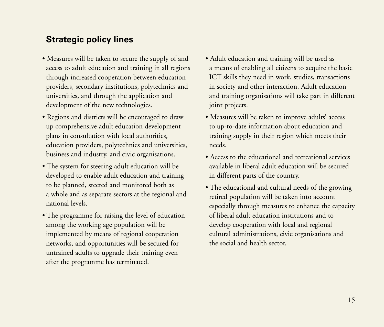- Measures will be taken to secure the supply of and access to adult education and training in all regions through increased cooperation between education providers, secondary institutions, polytechnics and universities, and through the application and development of the new technologies.
- Regions and districts will be encouraged to draw up comprehensive adult education development plans in consultation with local authorities, education providers, polytechnics and universities, business and industry, and civic organisations.
- The system for steering adult education will be developed to enable adult education and training to be planned, steered and monitored both as a whole and as separate sectors at the regional and national levels.
- The programme for raising the level of education among the working age population will be implemented by means of regional cooperation networks, and opportunities will be secured for untrained adults to upgrade their training even after the programme has terminated.
- Adult education and training will be used as a means of enabling all citizens to acquire the basic ICT skills they need in work, studies, transactions in society and other interaction. Adult education and training organisations will take part in different joint projects.
- Measures will be taken to improve adults' access to up-to-date information about education and training supply in their region which meets their needs.
- Access to the educational and recreational services available in liberal adult education will be secured in different parts of the country.
- The educational and cultural needs of the growing retired population will be taken into account especially through measures to enhance the capacity of liberal adult education institutions and to develop cooperation with local and regional cultural administrations, civic organisations and the social and health sector.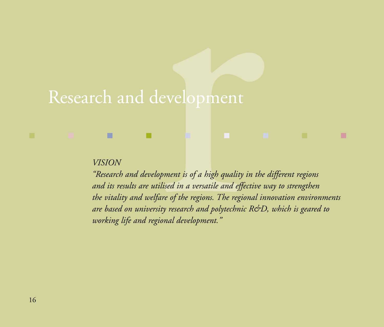# Research and development

#### *VISION*

"Research and development is of a high quality in the different regions *and its results are utilised in a versatile and effective way to strengthen the vitality and welfare of the regions. The regional innovation environments are based on university research and polytechnic R&D, which is geared to working life and regional development. Research and development is of a high quality in the different regions*<br>*Research and development is of a high quality in the different regions*<br>*Pacearch and development is of a high quality in the different regions*<br>*Pa* 

■ ■ ■ ■ ■ ■ ■ ■ ■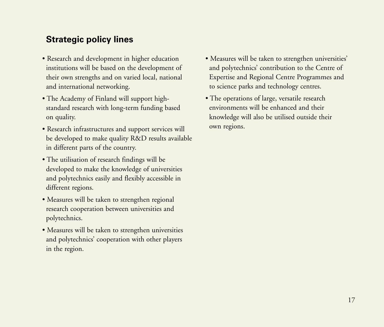- Research and development in higher education institutions will be based on the development of their own strengths and on varied local, national and international networking.
- The Academy of Finland will support highstandard research with long-term funding based on quality.
- Research infrastructures and support services will be developed to make quality R&D results available in different parts of the country.
- The utilisation of research findings will be developed to make the knowledge of universities and polytechnics easily and flexibly accessible in different regions.
- Measures will be taken to strengthen regional research cooperation between universities and polytechnics.
- Measures will be taken to strengthen universities and polytechnics' cooperation with other players in the region.
- Measures will be taken to strengthen universities' and polytechnics' contribution to the Centre of Expertise and Regional Centre Programmes and to science parks and technology centres.
- The operations of large, versatile research environments will be enhanced and their knowledge will also be utilised outside their own regions.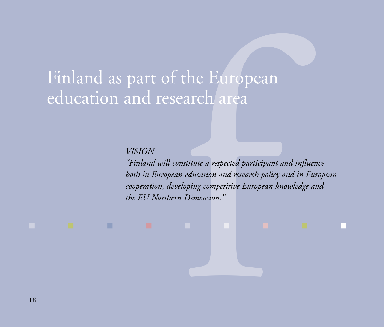Finland as part of the European education and research area

*VISION*

■ ■ ■ ■ ■ ■ ■ ■ ■

the European<br>
earch area<br>
the area and research policy<br>
meducation and research policy<br>
reloping competitive European<br>
reloping competitive European<br>
relines.<br>
Pimension." *"Finland will constitute a respected participant and influence both in European education and research policy and in European cooperation, developing competitive European knowledge and the EU Northern Dimension."*

18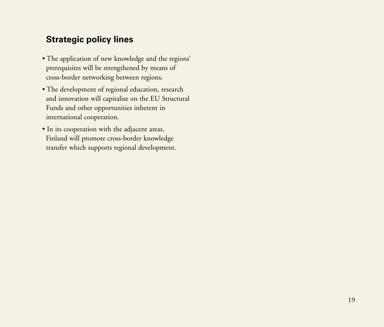- The application of new knowledge and the regions' prerequisites will be strengthened by means of cross-border networking between regions.
- The development of regional education, research and innovation will capitalise on the EU Structural Funds and other opportunities inherent in international cooperation.
- In its cooperation with the adjacent areas, Finland will promote cross-border knowledge transfer which supports regional development.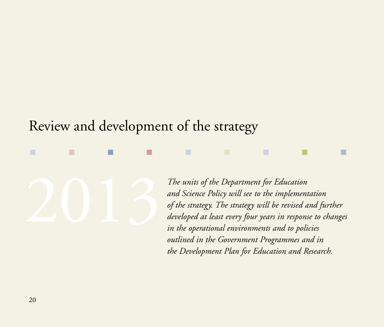### Review and development of the strategy

■ ■ ■ ■ ■ ■ ■ ■ ■

*The units of the Department for Education*<br>and Science Policy will see to the implemen<br>of the strategy. The strategy will be revised in<br>developed at least every four years in respon<br>in the operational environments and to *and Science Policy will see to the implementation of the strategy. The strategy will be revised and further developed at least every four years in response to changes in the operational environments and to policies outlined in the Government Programmes and in the Development Plan for Education and Research.*